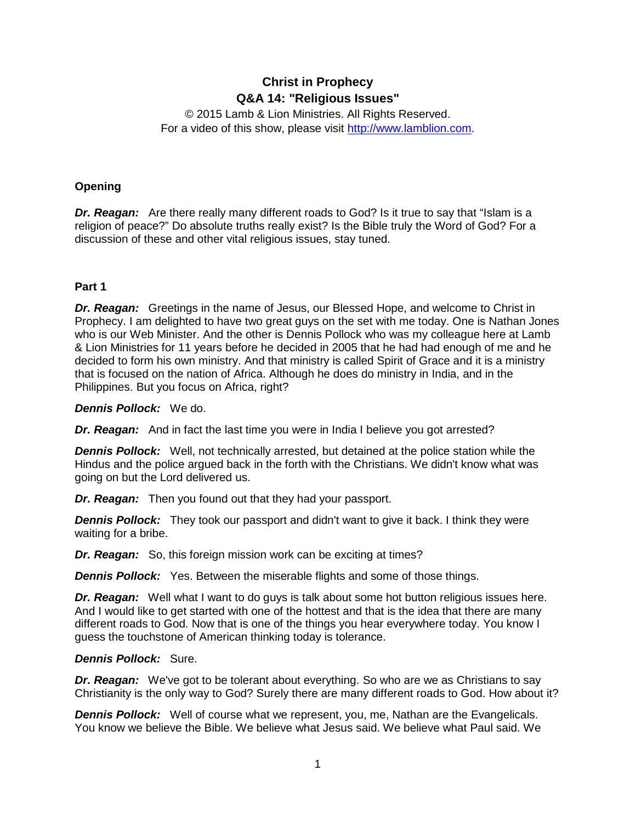# **Christ in Prophecy Q&A 14: "Religious Issues"**

© 2015 Lamb & Lion Ministries. All Rights Reserved. For a video of this show, please visit [http://www.lamblion.com.](http://www.lamblion.com/)

# **Opening**

*Dr. Reagan:* Are there really many different roads to God? Is it true to say that "Islam is a religion of peace?" Do absolute truths really exist? Is the Bible truly the Word of God? For a discussion of these and other vital religious issues, stay tuned.

# **Part 1**

*Dr. Reagan:* Greetings in the name of Jesus, our Blessed Hope, and welcome to Christ in Prophecy. I am delighted to have two great guys on the set with me today. One is Nathan Jones who is our Web Minister. And the other is Dennis Pollock who was my colleague here at Lamb & Lion Ministries for 11 years before he decided in 2005 that he had had enough of me and he decided to form his own ministry. And that ministry is called Spirit of Grace and it is a ministry that is focused on the nation of Africa. Although he does do ministry in India, and in the Philippines. But you focus on Africa, right?

*Dennis Pollock:* We do.

*Dr. Reagan:* And in fact the last time you were in India I believe you got arrested?

*Dennis Pollock:* Well, not technically arrested, but detained at the police station while the Hindus and the police argued back in the forth with the Christians. We didn't know what was going on but the Lord delivered us.

*Dr. Reagan:* Then you found out that they had your passport.

*Dennis Pollock:* They took our passport and didn't want to give it back. I think they were waiting for a bribe.

*Dr. Reagan:* So, this foreign mission work can be exciting at times?

*Dennis Pollock:* Yes. Between the miserable flights and some of those things.

*Dr. Reagan:* Well what I want to do guys is talk about some hot button religious issues here. And I would like to get started with one of the hottest and that is the idea that there are many different roads to God. Now that is one of the things you hear everywhere today. You know I guess the touchstone of American thinking today is tolerance.

# *Dennis Pollock:* Sure.

*Dr. Reagan:* We've got to be tolerant about everything. So who are we as Christians to say Christianity is the only way to God? Surely there are many different roads to God. How about it?

**Dennis Pollock:** Well of course what we represent, you, me, Nathan are the Evangelicals. You know we believe the Bible. We believe what Jesus said. We believe what Paul said. We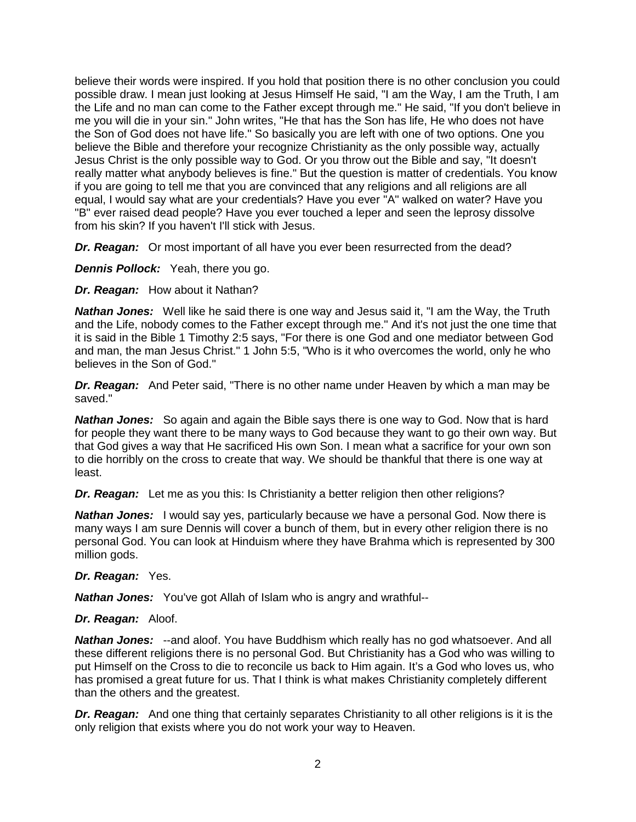believe their words were inspired. If you hold that position there is no other conclusion you could possible draw. I mean just looking at Jesus Himself He said, "I am the Way, I am the Truth, I am the Life and no man can come to the Father except through me." He said, "If you don't believe in me you will die in your sin." John writes, "He that has the Son has life, He who does not have the Son of God does not have life." So basically you are left with one of two options. One you believe the Bible and therefore your recognize Christianity as the only possible way, actually Jesus Christ is the only possible way to God. Or you throw out the Bible and say, "It doesn't really matter what anybody believes is fine." But the question is matter of credentials. You know if you are going to tell me that you are convinced that any religions and all religions are all equal, I would say what are your credentials? Have you ever "A" walked on water? Have you "B" ever raised dead people? Have you ever touched a leper and seen the leprosy dissolve from his skin? If you haven't I'll stick with Jesus.

*Dr. Reagan:* Or most important of all have you ever been resurrected from the dead?

*Dennis Pollock:* Yeah, there you go.

*Dr. Reagan:* How about it Nathan?

*Nathan Jones:* Well like he said there is one way and Jesus said it, "I am the Way, the Truth and the Life, nobody comes to the Father except through me." And it's not just the one time that it is said in the Bible 1 Timothy 2:5 says, "For there is one God and one mediator between God and man, the man Jesus Christ." 1 John 5:5, "Who is it who overcomes the world, only he who believes in the Son of God."

*Dr. Reagan:* And Peter said, "There is no other name under Heaven by which a man may be saved."

*Nathan Jones:* So again and again the Bible says there is one way to God. Now that is hard for people they want there to be many ways to God because they want to go their own way. But that God gives a way that He sacrificed His own Son. I mean what a sacrifice for your own son to die horribly on the cross to create that way. We should be thankful that there is one way at least.

**Dr. Reagan:** Let me as you this: Is Christianity a better religion then other religions?

*Nathan Jones:* I would say yes, particularly because we have a personal God. Now there is many ways I am sure Dennis will cover a bunch of them, but in every other religion there is no personal God. You can look at Hinduism where they have Brahma which is represented by 300 million gods.

# *Dr. Reagan:* Yes.

*Nathan Jones:* You've got Allah of Islam who is angry and wrathful--

## *Dr. Reagan:* Aloof.

*Nathan Jones:* --and aloof. You have Buddhism which really has no god whatsoever. And all these different religions there is no personal God. But Christianity has a God who was willing to put Himself on the Cross to die to reconcile us back to Him again. It's a God who loves us, who has promised a great future for us. That I think is what makes Christianity completely different than the others and the greatest.

*Dr. Reagan:* And one thing that certainly separates Christianity to all other religions is it is the only religion that exists where you do not work your way to Heaven.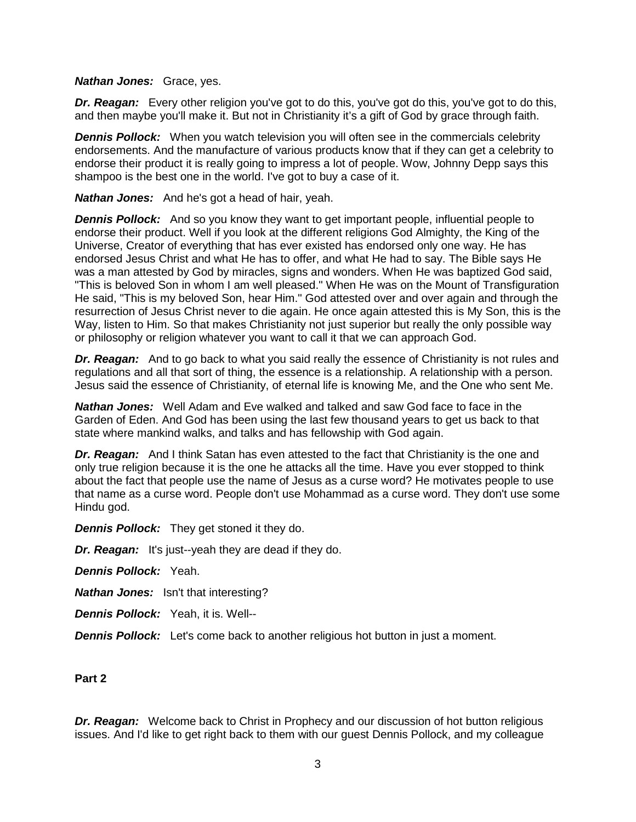#### *Nathan Jones:* Grace, yes.

**Dr. Reagan:** Every other religion you've got to do this, you've got do this, you've got to do this, and then maybe you'll make it. But not in Christianity it's a gift of God by grace through faith.

**Dennis Pollock:** When you watch television you will often see in the commercials celebrity endorsements. And the manufacture of various products know that if they can get a celebrity to endorse their product it is really going to impress a lot of people. Wow, Johnny Depp says this shampoo is the best one in the world. I've got to buy a case of it.

*Nathan Jones:* And he's got a head of hair, yeah.

*Dennis Pollock:* And so you know they want to get important people, influential people to endorse their product. Well if you look at the different religions God Almighty, the King of the Universe, Creator of everything that has ever existed has endorsed only one way. He has endorsed Jesus Christ and what He has to offer, and what He had to say. The Bible says He was a man attested by God by miracles, signs and wonders. When He was baptized God said, "This is beloved Son in whom I am well pleased." When He was on the Mount of Transfiguration He said, "This is my beloved Son, hear Him." God attested over and over again and through the resurrection of Jesus Christ never to die again. He once again attested this is My Son, this is the Way, listen to Him. So that makes Christianity not just superior but really the only possible way or philosophy or religion whatever you want to call it that we can approach God.

**Dr. Reagan:** And to go back to what you said really the essence of Christianity is not rules and regulations and all that sort of thing, the essence is a relationship. A relationship with a person. Jesus said the essence of Christianity, of eternal life is knowing Me, and the One who sent Me.

*Nathan Jones:* Well Adam and Eve walked and talked and saw God face to face in the Garden of Eden. And God has been using the last few thousand years to get us back to that state where mankind walks, and talks and has fellowship with God again.

*Dr. Reagan:* And I think Satan has even attested to the fact that Christianity is the one and only true religion because it is the one he attacks all the time. Have you ever stopped to think about the fact that people use the name of Jesus as a curse word? He motivates people to use that name as a curse word. People don't use Mohammad as a curse word. They don't use some Hindu god.

*Dennis Pollock:* They get stoned it they do.

*Dr. Reagan:* It's just--yeah they are dead if they do.

*Dennis Pollock:* Yeah.

*Nathan Jones:* Isn't that interesting?

*Dennis Pollock:* Yeah, it is. Well--

*Dennis Pollock:* Let's come back to another religious hot button in just a moment.

## **Part 2**

*Dr. Reagan:* Welcome back to Christ in Prophecy and our discussion of hot button religious issues. And I'd like to get right back to them with our guest Dennis Pollock, and my colleague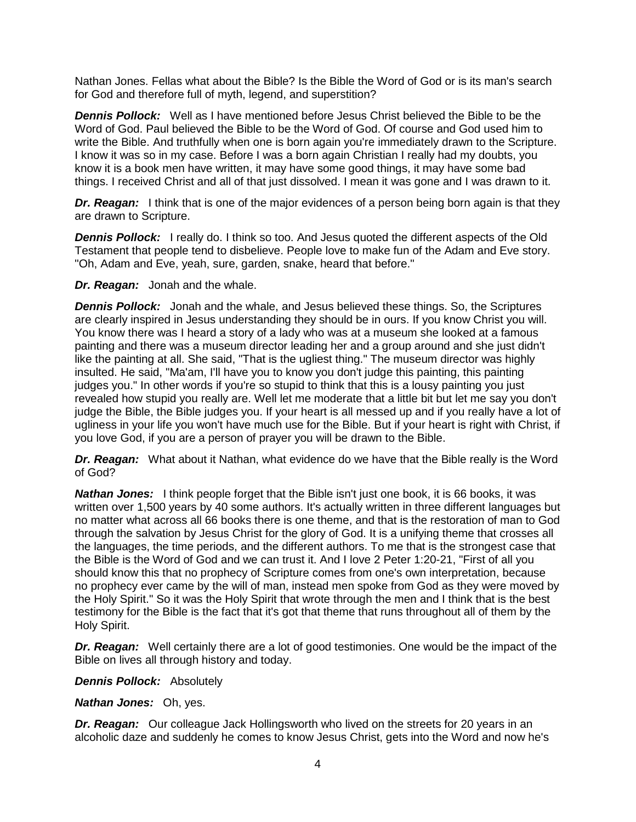Nathan Jones. Fellas what about the Bible? Is the Bible the Word of God or is its man's search for God and therefore full of myth, legend, and superstition?

*Dennis Pollock:* Well as I have mentioned before Jesus Christ believed the Bible to be the Word of God. Paul believed the Bible to be the Word of God. Of course and God used him to write the Bible. And truthfully when one is born again you're immediately drawn to the Scripture. I know it was so in my case. Before I was a born again Christian I really had my doubts, you know it is a book men have written, it may have some good things, it may have some bad things. I received Christ and all of that just dissolved. I mean it was gone and I was drawn to it.

*Dr. Reagan:* I think that is one of the major evidences of a person being born again is that they are drawn to Scripture.

**Dennis Pollock:** I really do. I think so too. And Jesus quoted the different aspects of the Old Testament that people tend to disbelieve. People love to make fun of the Adam and Eve story. "Oh, Adam and Eve, yeah, sure, garden, snake, heard that before."

*Dr. Reagan:* Jonah and the whale.

*Dennis Pollock:* Jonah and the whale, and Jesus believed these things. So, the Scriptures are clearly inspired in Jesus understanding they should be in ours. If you know Christ you will. You know there was I heard a story of a lady who was at a museum she looked at a famous painting and there was a museum director leading her and a group around and she just didn't like the painting at all. She said, "That is the ugliest thing." The museum director was highly insulted. He said, "Ma'am, I'll have you to know you don't judge this painting, this painting judges you." In other words if you're so stupid to think that this is a lousy painting you just revealed how stupid you really are. Well let me moderate that a little bit but let me say you don't judge the Bible, the Bible judges you. If your heart is all messed up and if you really have a lot of ugliness in your life you won't have much use for the Bible. But if your heart is right with Christ, if you love God, if you are a person of prayer you will be drawn to the Bible.

*Dr. Reagan:* What about it Nathan, what evidence do we have that the Bible really is the Word of God?

*Nathan Jones:* I think people forget that the Bible isn't just one book, it is 66 books, it was written over 1,500 years by 40 some authors. It's actually written in three different languages but no matter what across all 66 books there is one theme, and that is the restoration of man to God through the salvation by Jesus Christ for the glory of God. It is a unifying theme that crosses all the languages, the time periods, and the different authors. To me that is the strongest case that the Bible is the Word of God and we can trust it. And I love 2 Peter 1:20-21, "First of all you should know this that no prophecy of Scripture comes from one's own interpretation, because no prophecy ever came by the will of man, instead men spoke from God as they were moved by the Holy Spirit." So it was the Holy Spirit that wrote through the men and I think that is the best testimony for the Bible is the fact that it's got that theme that runs throughout all of them by the Holy Spirit.

*Dr. Reagan:* Well certainly there are a lot of good testimonies. One would be the impact of the Bible on lives all through history and today.

*Dennis Pollock:* Absolutely

*Nathan Jones:* Oh, yes.

*Dr. Reagan:* Our colleague Jack Hollingsworth who lived on the streets for 20 years in an alcoholic daze and suddenly he comes to know Jesus Christ, gets into the Word and now he's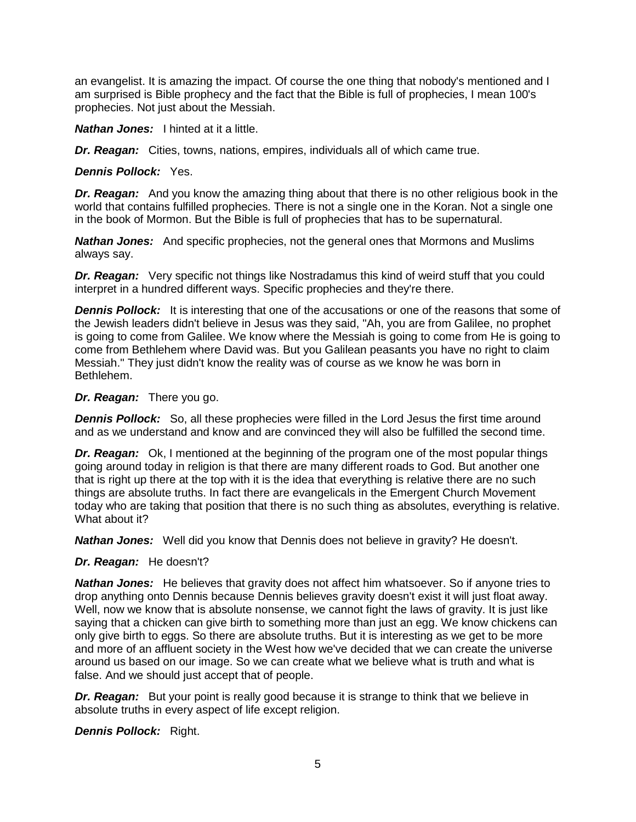an evangelist. It is amazing the impact. Of course the one thing that nobody's mentioned and I am surprised is Bible prophecy and the fact that the Bible is full of prophecies, I mean 100's prophecies. Not just about the Messiah.

*Nathan Jones:* I hinted at it a little.

*Dr. Reagan:* Cities, towns, nations, empires, individuals all of which came true.

*Dennis Pollock:* Yes.

*Dr. Reagan:* And you know the amazing thing about that there is no other religious book in the world that contains fulfilled prophecies. There is not a single one in the Koran. Not a single one in the book of Mormon. But the Bible is full of prophecies that has to be supernatural.

*Nathan Jones:* And specific prophecies, not the general ones that Mormons and Muslims always say.

*Dr. Reagan:* Very specific not things like Nostradamus this kind of weird stuff that you could interpret in a hundred different ways. Specific prophecies and they're there.

**Dennis Pollock:** It is interesting that one of the accusations or one of the reasons that some of the Jewish leaders didn't believe in Jesus was they said, "Ah, you are from Galilee, no prophet is going to come from Galilee. We know where the Messiah is going to come from He is going to come from Bethlehem where David was. But you Galilean peasants you have no right to claim Messiah." They just didn't know the reality was of course as we know he was born in Bethlehem.

## *Dr. Reagan:* There you go.

**Dennis Pollock:** So, all these prophecies were filled in the Lord Jesus the first time around and as we understand and know and are convinced they will also be fulfilled the second time.

*Dr. Reagan:* Ok, I mentioned at the beginning of the program one of the most popular things going around today in religion is that there are many different roads to God. But another one that is right up there at the top with it is the idea that everything is relative there are no such things are absolute truths. In fact there are evangelicals in the Emergent Church Movement today who are taking that position that there is no such thing as absolutes, everything is relative. What about it?

*Nathan Jones:* Well did you know that Dennis does not believe in gravity? He doesn't.

# *Dr. Reagan:* He doesn't?

*Nathan Jones:* He believes that gravity does not affect him whatsoever. So if anyone tries to drop anything onto Dennis because Dennis believes gravity doesn't exist it will just float away. Well, now we know that is absolute nonsense, we cannot fight the laws of gravity. It is just like saying that a chicken can give birth to something more than just an egg. We know chickens can only give birth to eggs. So there are absolute truths. But it is interesting as we get to be more and more of an affluent society in the West how we've decided that we can create the universe around us based on our image. So we can create what we believe what is truth and what is false. And we should just accept that of people.

**Dr. Reagan:** But your point is really good because it is strange to think that we believe in absolute truths in every aspect of life except religion.

*Dennis Pollock:* Right.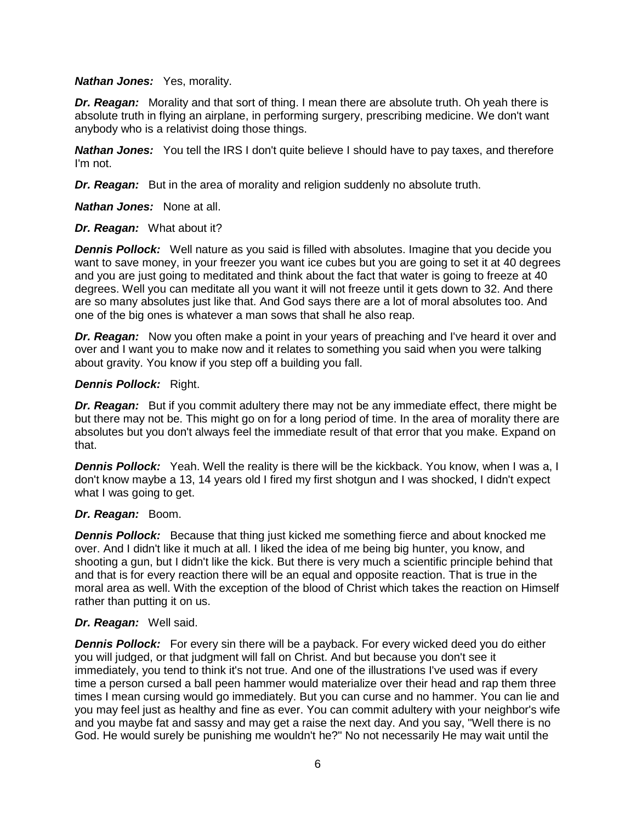## *Nathan Jones:* Yes, morality.

*Dr. Reagan:* Morality and that sort of thing. I mean there are absolute truth. Oh yeah there is absolute truth in flying an airplane, in performing surgery, prescribing medicine. We don't want anybody who is a relativist doing those things.

*Nathan Jones:* You tell the IRS I don't quite believe I should have to pay taxes, and therefore I'm not.

*Dr. Reagan:* But in the area of morality and religion suddenly no absolute truth.

*Nathan Jones:* None at all.

## *Dr. Reagan:* What about it?

*Dennis Pollock:* Well nature as you said is filled with absolutes. Imagine that you decide you want to save money, in your freezer you want ice cubes but you are going to set it at 40 degrees and you are just going to meditated and think about the fact that water is going to freeze at 40 degrees. Well you can meditate all you want it will not freeze until it gets down to 32. And there are so many absolutes just like that. And God says there are a lot of moral absolutes too. And one of the big ones is whatever a man sows that shall he also reap.

*Dr. Reagan:* Now you often make a point in your years of preaching and I've heard it over and over and I want you to make now and it relates to something you said when you were talking about gravity. You know if you step off a building you fall.

## *Dennis Pollock:* Right.

**Dr. Reagan:** But if you commit adultery there may not be any immediate effect, there might be but there may not be. This might go on for a long period of time. In the area of morality there are absolutes but you don't always feel the immediate result of that error that you make. Expand on that.

*Dennis Pollock:* Yeah. Well the reality is there will be the kickback. You know, when I was a, I don't know maybe a 13, 14 years old I fired my first shotgun and I was shocked, I didn't expect what I was going to get.

# *Dr. Reagan:* Boom.

*Dennis Pollock:* Because that thing just kicked me something fierce and about knocked me over. And I didn't like it much at all. I liked the idea of me being big hunter, you know, and shooting a gun, but I didn't like the kick. But there is very much a scientific principle behind that and that is for every reaction there will be an equal and opposite reaction. That is true in the moral area as well. With the exception of the blood of Christ which takes the reaction on Himself rather than putting it on us.

## *Dr. Reagan:* Well said.

*Dennis Pollock:* For every sin there will be a payback. For every wicked deed you do either you will judged, or that judgment will fall on Christ. And but because you don't see it immediately, you tend to think it's not true. And one of the illustrations I've used was if every time a person cursed a ball peen hammer would materialize over their head and rap them three times I mean cursing would go immediately. But you can curse and no hammer. You can lie and you may feel just as healthy and fine as ever. You can commit adultery with your neighbor's wife and you maybe fat and sassy and may get a raise the next day. And you say, "Well there is no God. He would surely be punishing me wouldn't he?" No not necessarily He may wait until the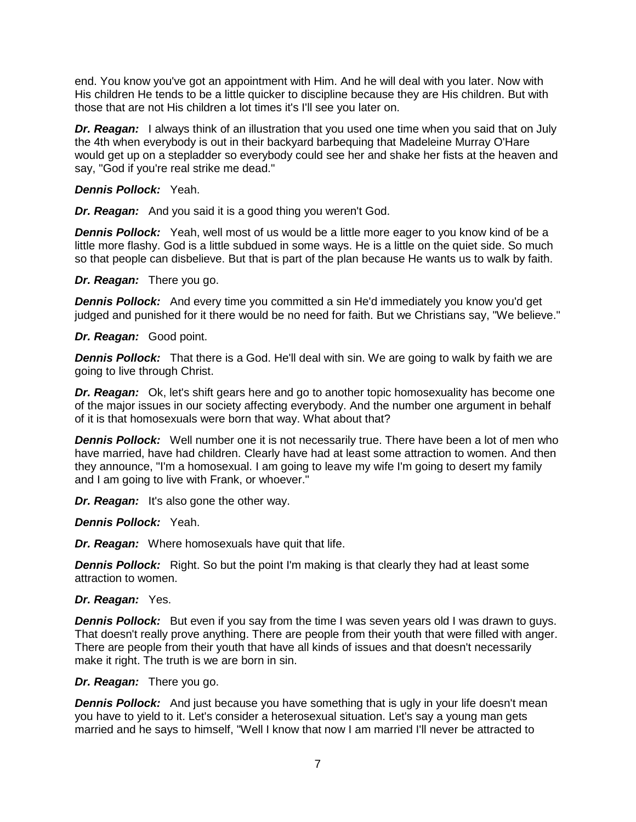end. You know you've got an appointment with Him. And he will deal with you later. Now with His children He tends to be a little quicker to discipline because they are His children. But with those that are not His children a lot times it's I'll see you later on.

*Dr. Reagan:* I always think of an illustration that you used one time when you said that on July the 4th when everybody is out in their backyard barbequing that Madeleine Murray O'Hare would get up on a stepladder so everybody could see her and shake her fists at the heaven and say, "God if you're real strike me dead."

## *Dennis Pollock:* Yeah.

*Dr. Reagan:* And you said it is a good thing you weren't God.

**Dennis Pollock:** Yeah, well most of us would be a little more eager to you know kind of be a little more flashy. God is a little subdued in some ways. He is a little on the quiet side. So much so that people can disbelieve. But that is part of the plan because He wants us to walk by faith.

## *Dr. Reagan:* There you go.

**Dennis Pollock:** And every time you committed a sin He'd immediately you know you'd get judged and punished for it there would be no need for faith. But we Christians say, "We believe."

## *Dr. Reagan:* Good point.

*Dennis Pollock:* That there is a God. He'll deal with sin. We are going to walk by faith we are going to live through Christ.

*Dr. Reagan:* Ok, let's shift gears here and go to another topic homosexuality has become one of the major issues in our society affecting everybody. And the number one argument in behalf of it is that homosexuals were born that way. What about that?

**Dennis Pollock:** Well number one it is not necessarily true. There have been a lot of men who have married, have had children. Clearly have had at least some attraction to women. And then they announce, "I'm a homosexual. I am going to leave my wife I'm going to desert my family and I am going to live with Frank, or whoever."

*Dr. Reagan:* It's also gone the other way.

*Dennis Pollock:* Yeah.

*Dr. Reagan:* Where homosexuals have quit that life.

**Dennis Pollock:** Right. So but the point I'm making is that clearly they had at least some attraction to women.

## *Dr. Reagan:* Yes.

**Dennis Pollock:** But even if you say from the time I was seven years old I was drawn to guys. That doesn't really prove anything. There are people from their youth that were filled with anger. There are people from their youth that have all kinds of issues and that doesn't necessarily make it right. The truth is we are born in sin.

## *Dr. Reagan:* There you go.

*Dennis Pollock:* And just because you have something that is ugly in your life doesn't mean you have to yield to it. Let's consider a heterosexual situation. Let's say a young man gets married and he says to himself, "Well I know that now I am married I'll never be attracted to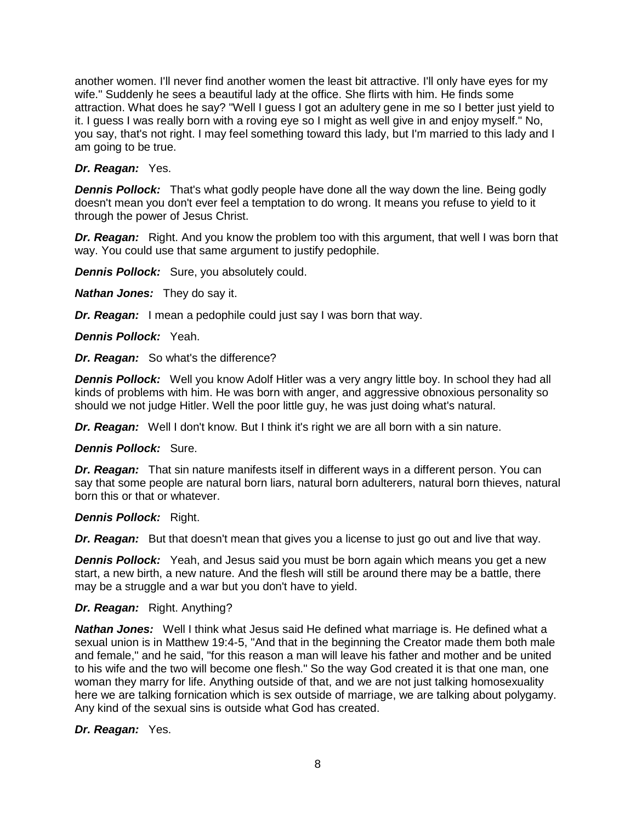another women. I'll never find another women the least bit attractive. I'll only have eyes for my wife." Suddenly he sees a beautiful lady at the office. She flirts with him. He finds some attraction. What does he say? "Well I guess I got an adultery gene in me so I better just yield to it. I guess I was really born with a roving eye so I might as well give in and enjoy myself." No, you say, that's not right. I may feel something toward this lady, but I'm married to this lady and I am going to be true.

## *Dr. Reagan:* Yes.

*Dennis Pollock:* That's what godly people have done all the way down the line. Being godly doesn't mean you don't ever feel a temptation to do wrong. It means you refuse to yield to it through the power of Jesus Christ.

**Dr. Reagan:** Right. And you know the problem too with this argument, that well I was born that way. You could use that same argument to justify pedophile.

**Dennis Pollock:** Sure, you absolutely could.

*Nathan Jones:* They do say it.

*Dr. Reagan:* I mean a pedophile could just say I was born that way.

*Dennis Pollock:* Yeah.

*Dr. Reagan:* So what's the difference?

*Dennis Pollock:* Well you know Adolf Hitler was a very angry little boy. In school they had all kinds of problems with him. He was born with anger, and aggressive obnoxious personality so should we not judge Hitler. Well the poor little guy, he was just doing what's natural.

*Dr. Reagan:* Well I don't know. But I think it's right we are all born with a sin nature.

*Dennis Pollock:* Sure.

*Dr. Reagan:* That sin nature manifests itself in different ways in a different person. You can say that some people are natural born liars, natural born adulterers, natural born thieves, natural born this or that or whatever.

*Dennis Pollock:* Right.

*Dr. Reagan:* But that doesn't mean that gives you a license to just go out and live that way.

*Dennis Pollock:* Yeah, and Jesus said you must be born again which means you get a new start, a new birth, a new nature. And the flesh will still be around there may be a battle, there may be a struggle and a war but you don't have to yield.

## *Dr. Reagan:* Right. Anything?

*Nathan Jones:* Well I think what Jesus said He defined what marriage is. He defined what a sexual union is in Matthew 19:4-5, "And that in the beginning the Creator made them both male and female," and he said, "for this reason a man will leave his father and mother and be united to his wife and the two will become one flesh." So the way God created it is that one man, one woman they marry for life. Anything outside of that, and we are not just talking homosexuality here we are talking fornication which is sex outside of marriage, we are talking about polygamy. Any kind of the sexual sins is outside what God has created.

*Dr. Reagan:* Yes.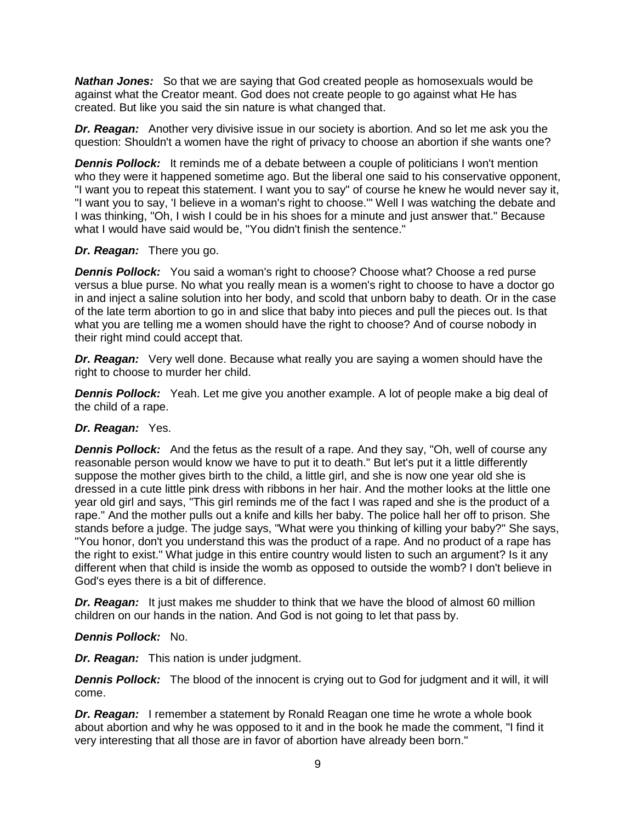*Nathan Jones:* So that we are saying that God created people as homosexuals would be against what the Creator meant. God does not create people to go against what He has created. But like you said the sin nature is what changed that.

*Dr. Reagan:* Another very divisive issue in our society is abortion. And so let me ask you the question: Shouldn't a women have the right of privacy to choose an abortion if she wants one?

**Dennis Pollock:** It reminds me of a debate between a couple of politicians I won't mention who they were it happened sometime ago. But the liberal one said to his conservative opponent, "I want you to repeat this statement. I want you to say" of course he knew he would never say it, "I want you to say, 'I believe in a woman's right to choose.'" Well I was watching the debate and I was thinking, "Oh, I wish I could be in his shoes for a minute and just answer that." Because what I would have said would be, "You didn't finish the sentence."

## *Dr. Reagan:* There you go.

**Dennis Pollock:** You said a woman's right to choose? Choose what? Choose a red purse versus a blue purse. No what you really mean is a women's right to choose to have a doctor go in and inject a saline solution into her body, and scold that unborn baby to death. Or in the case of the late term abortion to go in and slice that baby into pieces and pull the pieces out. Is that what you are telling me a women should have the right to choose? And of course nobody in their right mind could accept that.

*Dr. Reagan:* Very well done. Because what really you are saying a women should have the right to choose to murder her child.

**Dennis Pollock:** Yeah. Let me give you another example. A lot of people make a big deal of the child of a rape.

## *Dr. Reagan:* Yes.

*Dennis Pollock:* And the fetus as the result of a rape. And they say, "Oh, well of course any reasonable person would know we have to put it to death." But let's put it a little differently suppose the mother gives birth to the child, a little girl, and she is now one year old she is dressed in a cute little pink dress with ribbons in her hair. And the mother looks at the little one year old girl and says, "This girl reminds me of the fact I was raped and she is the product of a rape." And the mother pulls out a knife and kills her baby. The police hall her off to prison. She stands before a judge. The judge says, "What were you thinking of killing your baby?" She says, "You honor, don't you understand this was the product of a rape. And no product of a rape has the right to exist." What judge in this entire country would listen to such an argument? Is it any different when that child is inside the womb as opposed to outside the womb? I don't believe in God's eyes there is a bit of difference.

**Dr. Reagan:** It just makes me shudder to think that we have the blood of almost 60 million children on our hands in the nation. And God is not going to let that pass by.

## *Dennis Pollock:* No.

*Dr. Reagan:* This nation is under judgment.

**Dennis Pollock:** The blood of the innocent is crying out to God for judgment and it will, it will come.

*Dr. Reagan:* I remember a statement by Ronald Reagan one time he wrote a whole book about abortion and why he was opposed to it and in the book he made the comment, "I find it very interesting that all those are in favor of abortion have already been born."